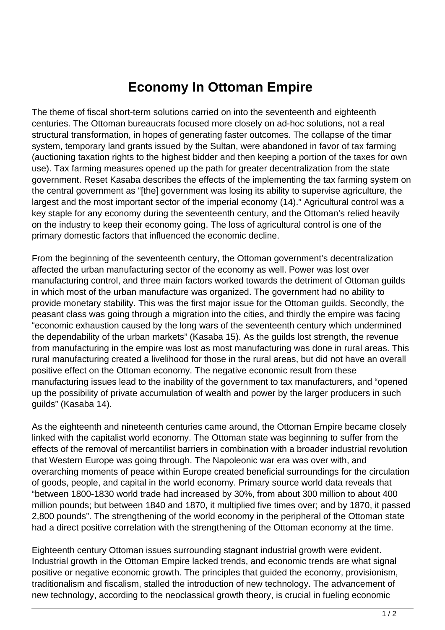## **Economy In Ottoman Empire**

The theme of fiscal short-term solutions carried on into the seventeenth and eighteenth centuries. The Ottoman bureaucrats focused more closely on ad-hoc solutions, not a real structural transformation, in hopes of generating faster outcomes. The collapse of the timar system, temporary land grants issued by the Sultan, were abandoned in favor of tax farming (auctioning taxation rights to the highest bidder and then keeping a portion of the taxes for own use). Tax farming measures opened up the path for greater decentralization from the state government. Reset Kasaba describes the effects of the implementing the tax farming system on the central government as "[the] government was losing its ability to supervise agriculture, the largest and the most important sector of the imperial economy (14)." Agricultural control was a key staple for any economy during the seventeenth century, and the Ottoman's relied heavily on the industry to keep their economy going. The loss of agricultural control is one of the primary domestic factors that influenced the economic decline.

From the beginning of the seventeenth century, the Ottoman government's decentralization affected the urban manufacturing sector of the economy as well. Power was lost over manufacturing control, and three main factors worked towards the detriment of Ottoman guilds in which most of the urban manufacture was organized. The government had no ability to provide monetary stability. This was the first major issue for the Ottoman guilds. Secondly, the peasant class was going through a migration into the cities, and thirdly the empire was facing "economic exhaustion caused by the long wars of the seventeenth century which undermined the dependability of the urban markets" (Kasaba 15). As the guilds lost strength, the revenue from manufacturing in the empire was lost as most manufacturing was done in rural areas. This rural manufacturing created a livelihood for those in the rural areas, but did not have an overall positive effect on the Ottoman economy. The negative economic result from these manufacturing issues lead to the inability of the government to tax manufacturers, and "opened up the possibility of private accumulation of wealth and power by the larger producers in such guilds" (Kasaba 14).

As the eighteenth and nineteenth centuries came around, the Ottoman Empire became closely linked with the capitalist world economy. The Ottoman state was beginning to suffer from the effects of the removal of mercantilist barriers in combination with a broader industrial revolution that Western Europe was going through. The Napoleonic war era was over with, and overarching moments of peace within Europe created beneficial surroundings for the circulation of goods, people, and capital in the world economy. Primary source world data reveals that "between 1800-1830 world trade had increased by 30%, from about 300 million to about 400 million pounds; but between 1840 and 1870, it multiplied five times over; and by 1870, it passed 2,800 pounds". The strengthening of the world economy in the peripheral of the Ottoman state had a direct positive correlation with the strengthening of the Ottoman economy at the time.

Eighteenth century Ottoman issues surrounding stagnant industrial growth were evident. Industrial growth in the Ottoman Empire lacked trends, and economic trends are what signal positive or negative economic growth. The principles that guided the economy, provisionism, traditionalism and fiscalism, stalled the introduction of new technology. The advancement of new technology, according to the neoclassical growth theory, is crucial in fueling economic